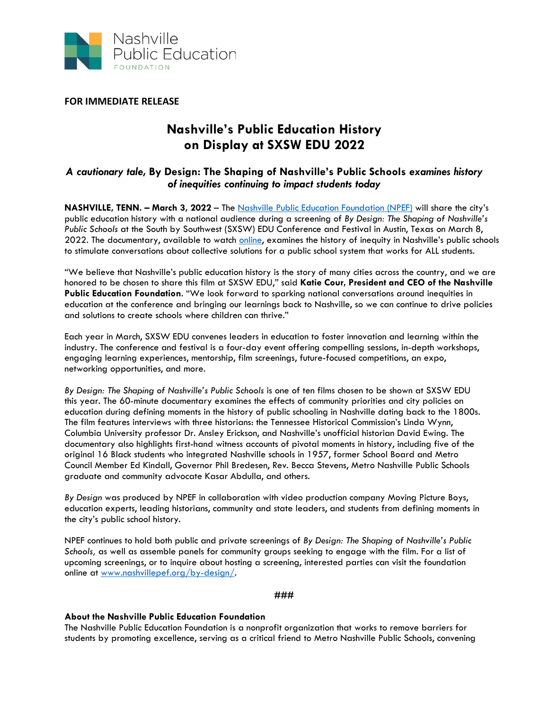

**FOR IMMEDIATE RELEASE**

## **Nashville's Public Education History on Display at SXSW EDU 2022**

## *A cautionary tale,* **By Design: The Shaping of Nashville's Public Schools** *examines history of inequities continuing to impact students today*

**NASHVILLE, TENN. – March 3, 2022** – The [Nashville Public Education Foundation \(NPEF\)](https://nashvillepef.org/) will share the city's public education history with a national audience during a screening of *By Design: The Shaping of Nashville's Public Schools* at the South by Southwest (SXSW) EDU Conference and Festival in Austin, Texas on March 8, 2022. The documentary, available to watch [online,](https://nashvillepef.org/by-design/) examines the history of inequity in Nashville's public schools to stimulate conversations about collective solutions for a public school system that works for ALL students.

"We believe that Nashville's public education history is the story of many cities across the country, and we are honored to be chosen to share this film at SXSW EDU," said **Katie Cour, President and CEO of the Nashville Public Education Foundation**. "We look forward to sparking national conversations around inequities in education at the conference and bringing our learnings back to Nashville, so we can continue to drive policies and solutions to create schools where children can thrive."

Each year in March, SXSW EDU convenes leaders in education to foster innovation and learning within the industry. The conference and festival is a four-day event offering compelling sessions, in-depth workshops, engaging learning experiences, mentorship, film screenings, future-focused competitions, an expo, networking opportunities, and more.

*By Design: The Shaping of Nashville's Public Schools* is one of ten films chosen to be shown at SXSW EDU this year. The 60-minute documentary examines the effects of community priorities and city policies on education during defining moments in the history of public schooling in Nashville dating back to the 1800s. The film features interviews with three historians: the Tennessee Historical Commission's Linda Wynn, Columbia University professor Dr. Ansley Erickson, and Nashville's unofficial historian David Ewing. The documentary also highlights first-hand witness accounts of pivotal moments in history, including five of the original 16 Black students who integrated Nashville schools in 1957, former School Board and Metro Council Member Ed Kindall, Governor Phil Bredesen, Rev. Becca Stevens, Metro Nashville Public Schools graduate and community advocate Kasar Abdulla, and others.

*By Design* was produced by NPEF in collaboration with video production company Moving Picture Boys, education experts, leading historians, community and state leaders, and students from defining moments in the city's public school history.

NPEF continues to hold both public and private screenings of *By Design: The Shaping of Nashville's Public Schools,* as well as assemble panels for community groups seeking to engage with the film. For a list of upcoming screenings, or to inquire about hosting a screening, interested parties can visit the foundation online at [www.nashvillepef.org/by-design/.](http://www.nashvillepef.org/by-design/)

## **###**

## **About the Nashville Public Education Foundation**

The Nashville Public Education Foundation is a nonprofit organization that works to remove barriers for students by promoting excellence, serving as a critical friend to Metro Nashville Public Schools, convening